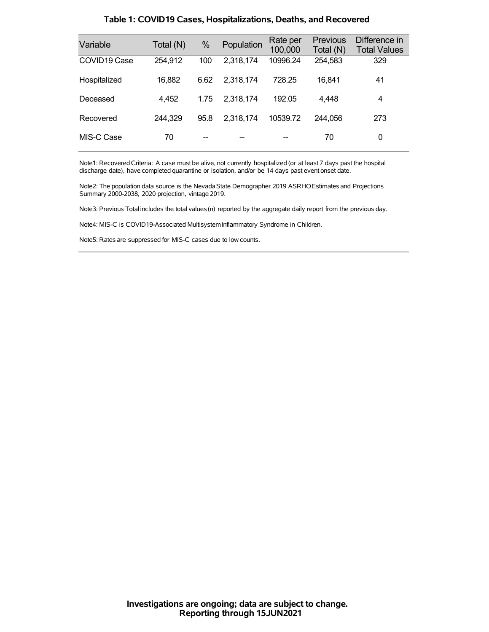| Variable                 | Total (N) | %    | Population | Rate per<br>100,000 | <b>Previous</b><br>Total (N) | Difference in<br><b>Total Values</b> |
|--------------------------|-----------|------|------------|---------------------|------------------------------|--------------------------------------|
| COVID <sub>19</sub> Case | 254,912   | 100  | 2,318,174  | 10996.24            | 254,583                      | 329                                  |
| Hospitalized             | 16,882    | 6.62 | 2,318,174  | 728.25              | 16,841                       | 41                                   |
| Deceased                 | 4,452     | 1.75 | 2.318.174  | 192.05              | 4,448                        | 4                                    |
| Recovered                | 244,329   | 95.8 | 2,318,174  | 10539.72            | 244.056                      | 273                                  |
| MIS-C Case               | 70        |      |            |                     | 70                           | 0                                    |

### **Table 1: COVID19 Cases, Hospitalizations, Deaths, and Recovered**

Note1: Recovered Criteria: A case must be alive, not currently hospitalized (or at least 7 days past the hospital discharge date), have completed quarantine or isolation, and/or be 14 days past event onset date.

Note2: The population data source is the Nevada State Demographer 2019 ASRHOEstimates and Projections Summary 2000-2038, 2020 projection, vintage 2019.

Note3: Previous Total includes the total values(n) reported by the aggregate daily report from the previous day.

Note4: MIS-C is COVID19-Associated MultisystemInflammatory Syndrome in Children.

Note5: Rates are suppressed for MIS-C cases due to low counts.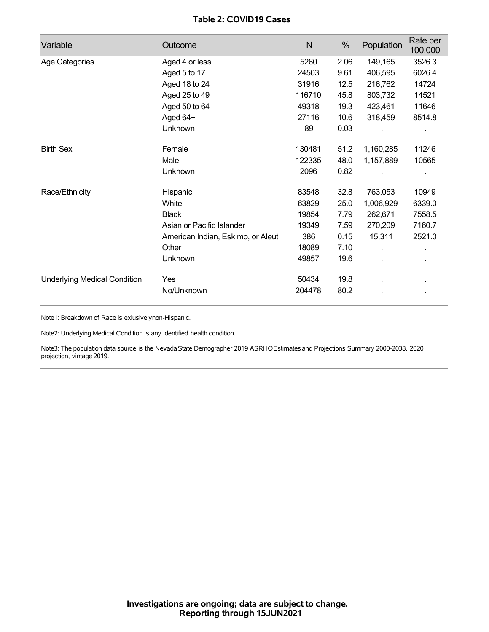## **Table 2: COVID19 Cases**

| Variable                            | Outcome                           | $\mathsf{N}$ | %    | Population | Rate per<br>100,000 |
|-------------------------------------|-----------------------------------|--------------|------|------------|---------------------|
| Age Categories                      | Aged 4 or less                    | 5260         | 2.06 | 149,165    | 3526.3              |
|                                     | Aged 5 to 17                      | 24503        | 9.61 | 406,595    | 6026.4              |
|                                     | Aged 18 to 24                     | 31916        | 12.5 | 216,762    | 14724               |
|                                     | Aged 25 to 49                     | 116710       | 45.8 | 803,732    | 14521               |
|                                     | Aged 50 to 64                     | 49318        | 19.3 | 423,461    | 11646               |
|                                     | Aged 64+                          | 27116        | 10.6 | 318,459    | 8514.8              |
|                                     | Unknown                           | 89           | 0.03 |            |                     |
| <b>Birth Sex</b>                    | Female                            | 130481       | 51.2 | 1,160,285  | 11246               |
|                                     | Male                              | 122335       | 48.0 | 1,157,889  | 10565               |
|                                     | Unknown                           | 2096         | 0.82 |            |                     |
| Race/Ethnicity                      | Hispanic                          | 83548        | 32.8 | 763,053    | 10949               |
|                                     | White                             | 63829        | 25.0 | 1,006,929  | 6339.0              |
|                                     | <b>Black</b>                      | 19854        | 7.79 | 262,671    | 7558.5              |
|                                     | Asian or Pacific Islander         | 19349        | 7.59 | 270,209    | 7160.7              |
|                                     | American Indian, Eskimo, or Aleut | 386          | 0.15 | 15,311     | 2521.0              |
|                                     | Other                             | 18089        | 7.10 |            |                     |
|                                     | Unknown                           | 49857        | 19.6 |            |                     |
| <b>Underlying Medical Condition</b> | Yes                               | 50434        | 19.8 |            |                     |
|                                     | No/Unknown                        | 204478       | 80.2 |            |                     |

Note1: Breakdown of Race is exlusivelynon-Hispanic.

Note2: Underlying Medical Condition is any identified health condition.

Note3: The population data source is the NevadaState Demographer 2019 ASRHOEstimates and Projections Summary 2000-2038, 2020 projection, vintage 2019.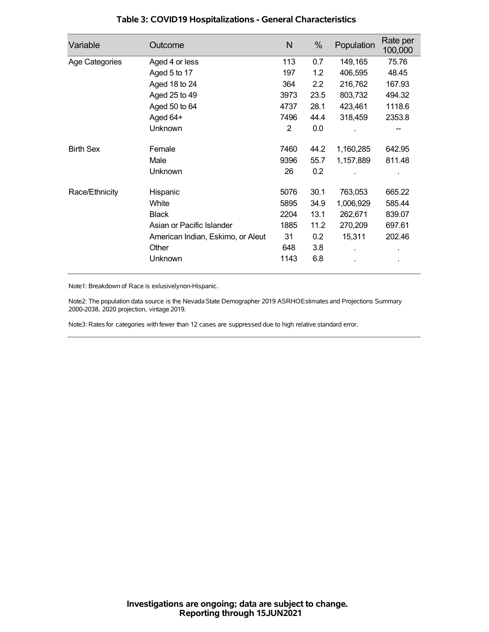| Variable         | Outcome                           | N    | %    | Population | Rate per<br>100,000 |
|------------------|-----------------------------------|------|------|------------|---------------------|
| Age Categories   | Aged 4 or less                    | 113  | 0.7  | 149,165    | 75.76               |
|                  | Aged 5 to 17                      | 197  | 1.2  | 406,595    | 48.45               |
|                  | Aged 18 to 24                     | 364  | 2.2  | 216,762    | 167.93              |
|                  | Aged 25 to 49                     | 3973 | 23.5 | 803,732    | 494.32              |
|                  | Aged 50 to 64                     | 4737 | 28.1 | 423,461    | 1118.6              |
|                  | Aged 64+                          | 7496 | 44.4 | 318,459    | 2353.8              |
|                  | Unknown                           | 2    | 0.0  |            |                     |
| <b>Birth Sex</b> | Female                            | 7460 | 44.2 | 1,160,285  | 642.95              |
|                  | Male                              | 9396 | 55.7 | 1,157,889  | 811.48              |
|                  | <b>Unknown</b>                    | 26   | 0.2  |            |                     |
| Race/Ethnicity   | Hispanic                          | 5076 | 30.1 | 763,053    | 665.22              |
|                  | White                             | 5895 | 34.9 | 1,006,929  | 585.44              |
|                  | <b>Black</b>                      | 2204 | 13.1 | 262,671    | 839.07              |
|                  | Asian or Pacific Islander         | 1885 | 11.2 | 270,209    | 697.61              |
|                  | American Indian, Eskimo, or Aleut | 31   | 0.2  | 15,311     | 202.46              |
|                  | Other                             | 648  | 3.8  |            |                     |
|                  | Unknown                           | 1143 | 6.8  |            |                     |

## **Table 3: COVID19 Hospitalizations - General Characteristics**

Note1: Breakdown of Race is exlusivelynon-Hispanic.

Note2: The population data source is the Nevada State Demographer 2019 ASRHOEstimates and Projections Summary 2000-2038, 2020 projection, vintage 2019.

Note3: Rates for categories with fewer than 12 cases are suppressed due to high relative standard error.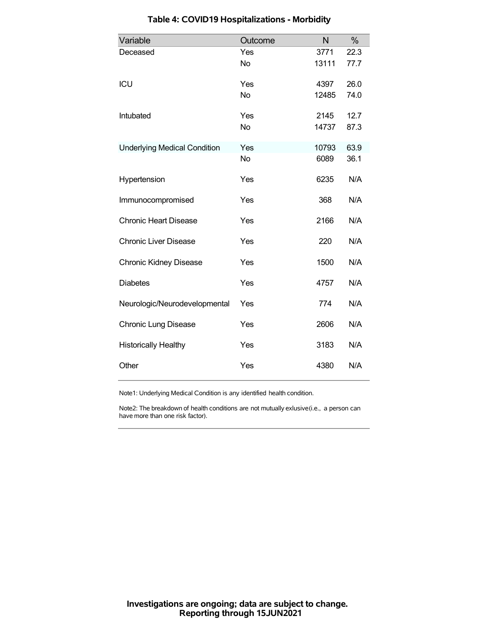| Variable                            | Outcome   | N     | %    |
|-------------------------------------|-----------|-------|------|
| Deceased                            | Yes       | 3771  | 22.3 |
|                                     | <b>No</b> | 13111 | 77.7 |
| <b>ICU</b>                          | Yes       | 4397  | 26.0 |
|                                     | <b>No</b> | 12485 | 74.0 |
| Intubated                           | Yes       | 2145  | 12.7 |
|                                     | <b>No</b> | 14737 | 87.3 |
| <b>Underlying Medical Condition</b> | Yes       | 10793 | 63.9 |
|                                     | <b>No</b> | 6089  | 36.1 |
| Hypertension                        | Yes       | 6235  | N/A  |
| Immunocompromised                   | Yes       | 368   | N/A  |
| <b>Chronic Heart Disease</b>        | Yes       | 2166  | N/A  |
| <b>Chronic Liver Disease</b>        | Yes       | 220   | N/A  |
| <b>Chronic Kidney Disease</b>       | Yes       | 1500  | N/A  |
| <b>Diabetes</b>                     | Yes       | 4757  | N/A  |
| Neurologic/Neurodevelopmental       | Yes       | 774   | N/A  |
| <b>Chronic Lung Disease</b>         | Yes       | 2606  | N/A  |
| <b>Historically Healthy</b>         | Yes       | 3183  | N/A  |
| Other                               | Yes       | 4380  | N/A  |

# **Table 4: COVID19 Hospitalizations - Morbidity**

Note1: Underlying Medical Condition is any identified health condition.

Note2: The breakdown of health conditions are not mutually exlusive(i.e., a person can have more than one risk factor).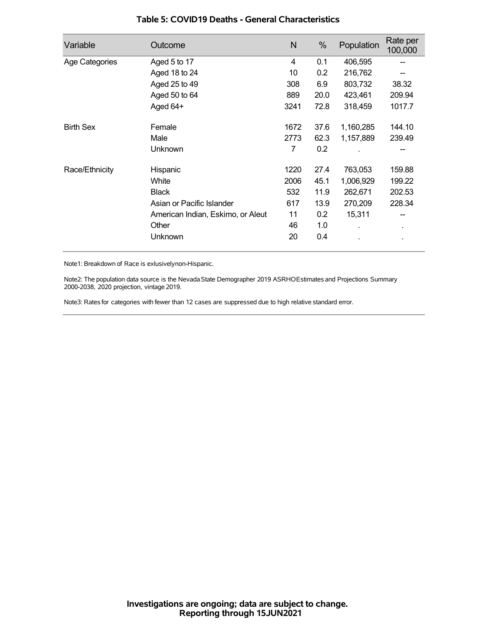| Variable         | Outcome                           | N    | %    | Population | Rate per<br>100,000 |
|------------------|-----------------------------------|------|------|------------|---------------------|
| Age Categories   | Aged 5 to 17                      | 4    | 0.1  | 406,595    |                     |
|                  | Aged 18 to 24                     | 10   | 0.2  | 216,762    |                     |
|                  | Aged 25 to 49                     | 308  | 6.9  | 803,732    | 38.32               |
|                  | Aged 50 to 64                     | 889  | 20.0 | 423,461    | 209.94              |
|                  | Aged 64+                          | 3241 | 72.8 | 318,459    | 1017.7              |
| <b>Birth Sex</b> | Female                            | 1672 | 37.6 | 1,160,285  | 144.10              |
|                  | Male                              | 2773 | 62.3 | 1,157,889  | 239.49              |
|                  | Unknown                           | 7    | 0.2  |            |                     |
| Race/Ethnicity   | Hispanic                          | 1220 | 27.4 | 763,053    | 159.88              |
|                  | White                             | 2006 | 45.1 | 1,006,929  | 199.22              |
|                  | <b>Black</b>                      | 532  | 11.9 | 262,671    | 202.53              |
|                  | Asian or Pacific Islander         | 617  | 13.9 | 270,209    | 228.34              |
|                  | American Indian, Eskimo, or Aleut | 11   | 0.2  | 15,311     |                     |
|                  | Other                             | 46   | 1.0  |            | $\blacksquare$      |
|                  | Unknown                           | 20   | 0.4  |            |                     |

### **Table 5: COVID19 Deaths - General Characteristics**

Note1: Breakdown of Race is exlusivelynon-Hispanic.

Note2: The population data source is the Nevada State Demographer 2019 ASRHOEstimates and Projections Summary 2000-2038, 2020 projection, vintage 2019.

Note3: Rates for categories with fewer than 12 cases are suppressed due to high relative standard error.